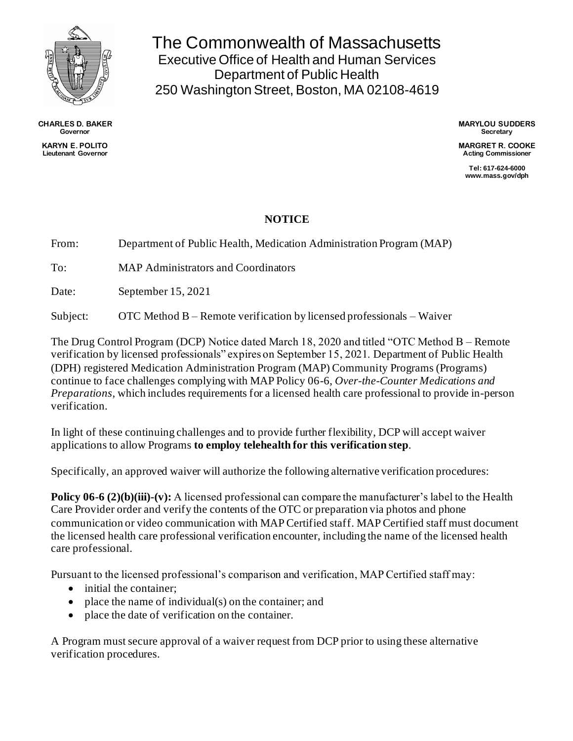

**CHARLES D. BAKER Governor KARYN E. POLITO Lieutenant Governor**

The Commonwealth of Massachusetts Executive Office of Health and Human Services Department of Public Health 250 Washington Street, Boston, MA 02108-4619

> **MARYLOU SUDDERS Secretary**

> **MARGRET R. COOKE Acting Commissioner**

**Tel: 617-624-6000 www.mass.gov/dph**

## **NOTICE**

From: Department of Public Health, Medication Administration Program (MAP)

To: MAP Administrators and Coordinators

Date: September 15, 2021

Subject: OTC Method B – Remote verification by licensed professionals – Waiver

The Drug Control Program (DCP) Notice dated March 18, 2020 and titled "OTC Method B – Remote verification by licensed professionals" expires on September 15, 2021. Department of Public Health (DPH) registered Medication Administration Program (MAP) Community Programs (Programs) continue to face challenges complying with MAP Policy 06-6, *Over-the-Counter Medications and Preparations*, which includes requirements for a licensed health care professional to provide in-person verification.

In light of these continuing challenges and to provide further flexibility, DCP will accept waiver applications to allow Programs **to employ telehealth for this verification step**.

Specifically, an approved waiver will authorize the following alternative verification procedures:

**Policy 06-6 (2)(b)(iii)-(v):** A licensed professional can compare the manufacturer's label to the Health Care Provider order and verify the contents of the OTC or preparation via photos and phone communication or video communication with MAP Certified staff. MAP Certified staff must document the licensed health care professional verification encounter, including the name of the licensed health care professional.

Pursuant to the licensed professional's comparison and verification, MAP Certified staff may:

- initial the container:
- place the name of individual(s) on the container; and
- place the date of verification on the container.

A Program must secure approval of a waiver request from DCP prior to using these alternative verification procedures.